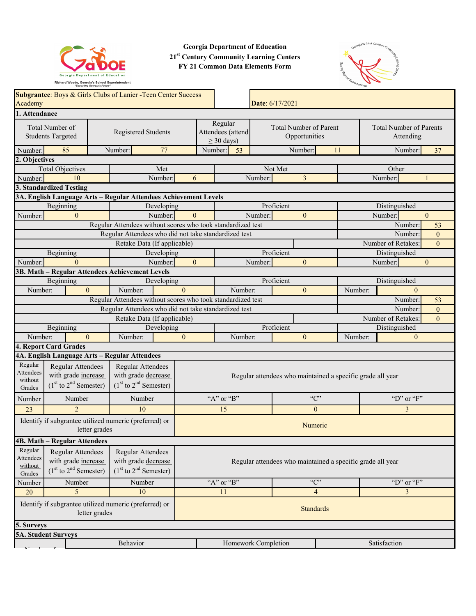

**Georgia Department of Education 21st Century Community Learning Centers FY 21 Common Data Elements Form**



| Academy                                                                 | Subgrantee: Boys & Girls Clubs of Lanier -Teen Center Success<br>Date: 6/17/2021                                                                                                                             |  |                                                                       |                                                      |                                                            |                                                |                     |                           |                                             |                |                |  |                    |                |
|-------------------------------------------------------------------------|--------------------------------------------------------------------------------------------------------------------------------------------------------------------------------------------------------------|--|-----------------------------------------------------------------------|------------------------------------------------------|------------------------------------------------------------|------------------------------------------------|---------------------|---------------------------|---------------------------------------------|----------------|----------------|--|--------------------|----------------|
|                                                                         | 1. Attendance                                                                                                                                                                                                |  |                                                                       |                                                      |                                                            |                                                |                     |                           |                                             |                |                |  |                    |                |
| Total Number of<br>Registered Students<br><b>Students Targeted</b>      |                                                                                                                                                                                                              |  |                                                                       | Regular<br>Attendees (attend<br>$\geq$ 30 days)      |                                                            | <b>Total Number of Parent</b><br>Opportunities |                     |                           | <b>Total Number of Parents</b><br>Attending |                |                |  |                    |                |
| Number:                                                                 | 85                                                                                                                                                                                                           |  | Number:                                                               | 77                                                   |                                                            | Number:                                        | 53                  |                           |                                             | Number:        | 11             |  | Number:            | 37             |
| 2. Objectives                                                           |                                                                                                                                                                                                              |  |                                                                       |                                                      |                                                            |                                                |                     |                           |                                             |                |                |  |                    |                |
|                                                                         | <b>Total Objectives</b>                                                                                                                                                                                      |  |                                                                       | Met                                                  |                                                            |                                                |                     |                           | Not Met                                     |                |                |  | Other              |                |
| 10<br>Number:<br>Number:                                                |                                                                                                                                                                                                              |  | 6                                                                     |                                                      |                                                            | Number:                                        |                     | $\overline{3}$            |                                             |                | Number:        |  |                    |                |
| 3. Standardized Testing                                                 |                                                                                                                                                                                                              |  |                                                                       |                                                      |                                                            |                                                |                     |                           |                                             |                |                |  |                    |                |
|                                                                         | 3A. English Language Arts - Regular Attendees Achievement Levels                                                                                                                                             |  |                                                                       |                                                      |                                                            |                                                |                     |                           |                                             |                |                |  |                    |                |
|                                                                         | Beginning<br>Developing                                                                                                                                                                                      |  |                                                                       |                                                      | Proficient                                                 |                                                |                     |                           | Distinguished                               |                |                |  |                    |                |
| Number:                                                                 | $\theta$                                                                                                                                                                                                     |  |                                                                       | Number:                                              | $\Omega$                                                   |                                                |                     | Number:                   |                                             | $\theta$       |                |  | Number:            | $\overline{0}$ |
|                                                                         |                                                                                                                                                                                                              |  | Regular Attendees without scores who took standardized test           |                                                      |                                                            |                                                |                     |                           |                                             |                |                |  | Number:            | 53             |
|                                                                         |                                                                                                                                                                                                              |  | Regular Attendees who did not take standardized test                  |                                                      |                                                            |                                                |                     |                           |                                             |                |                |  | Number:            | $\overline{0}$ |
|                                                                         |                                                                                                                                                                                                              |  | Retake Data (If applicable)                                           |                                                      |                                                            |                                                |                     |                           |                                             |                |                |  | Number of Retakes: | $\overline{0}$ |
|                                                                         | Beginning                                                                                                                                                                                                    |  |                                                                       | Developing                                           |                                                            |                                                |                     |                           | Proficient                                  |                |                |  | Distinguished      |                |
| Number:                                                                 | $\Omega$                                                                                                                                                                                                     |  |                                                                       | Number:                                              | $\Omega$                                                   |                                                |                     | Number:                   |                                             | $\theta$       |                |  | Number:            | $\overline{0}$ |
|                                                                         | 3B. Math - Regular Attendees Achievement Levels                                                                                                                                                              |  |                                                                       |                                                      |                                                            |                                                |                     |                           |                                             |                |                |  |                    |                |
|                                                                         | Beginning                                                                                                                                                                                                    |  |                                                                       | Developing                                           |                                                            |                                                |                     |                           | Proficient                                  |                |                |  | Distinguished      |                |
| Number:                                                                 | $\Omega$                                                                                                                                                                                                     |  | Number:                                                               |                                                      | $\Omega$                                                   |                                                | Number:             |                           |                                             | $\theta$       | Number:        |  | $\theta$           |                |
|                                                                         |                                                                                                                                                                                                              |  | Regular Attendees without scores who took standardized test           |                                                      |                                                            |                                                |                     |                           |                                             |                |                |  | Number:            | 53             |
|                                                                         |                                                                                                                                                                                                              |  |                                                                       | Regular Attendees who did not take standardized test |                                                            |                                                |                     | Number:<br>$\overline{0}$ |                                             |                |                |  |                    |                |
| Retake Data (If applicable)                                             |                                                                                                                                                                                                              |  |                                                                       |                                                      |                                                            |                                                |                     |                           | Number of Retakes:                          |                | $\overline{0}$ |  |                    |                |
|                                                                         | Beginning                                                                                                                                                                                                    |  |                                                                       | Developing                                           |                                                            |                                                |                     |                           | Proficient                                  |                |                |  | Distinguished      |                |
| Number:                                                                 | $\theta$                                                                                                                                                                                                     |  | Number:                                                               |                                                      | $\mathbf{0}$                                               |                                                | Number:             |                           |                                             | $\mathbf{0}$   | Number:        |  | $\mathbf{0}$       |                |
|                                                                         | 4. Report Card Grades                                                                                                                                                                                        |  |                                                                       |                                                      |                                                            |                                                |                     |                           |                                             |                |                |  |                    |                |
|                                                                         | 4A. English Language Arts - Regular Attendees                                                                                                                                                                |  |                                                                       |                                                      |                                                            |                                                |                     |                           |                                             |                |                |  |                    |                |
| Regular<br><b>Attendees</b><br>without<br>Grades                        | Regular Attendees<br>with grade increase<br>$(1st$ to $2nd$ Semester)                                                                                                                                        |  | Regular Attendees<br>with grade decrease<br>$(1st$ to $2nd$ Semester) |                                                      | Regular attendees who maintained a specific grade all year |                                                |                     |                           |                                             |                |                |  |                    |                |
| Number                                                                  | Number                                                                                                                                                                                                       |  | Number                                                                |                                                      |                                                            |                                                | "A" or "B"          |                           |                                             | C              |                |  | "D" or " $F$ "     |                |
| 23                                                                      | 2                                                                                                                                                                                                            |  | 10                                                                    |                                                      |                                                            |                                                | 15                  |                           |                                             | $\overline{0}$ |                |  | 3                  |                |
| Identify if subgrantee utilized numeric (preferred) or<br>letter grades |                                                                                                                                                                                                              |  |                                                                       |                                                      | Numeric                                                    |                                                |                     |                           |                                             |                |                |  |                    |                |
|                                                                         | <b>4B. Math - Regular Attendees</b>                                                                                                                                                                          |  |                                                                       |                                                      |                                                            |                                                |                     |                           |                                             |                |                |  |                    |                |
| Regular<br><b>Attendees</b><br>without<br>Grades                        | Regular Attendees<br>Regular Attendees<br>with grade increase<br>with grade decrease<br>Regular attendees who maintained a specific grade all year<br>$(1st$ to $2nd$ Semester)<br>$(1st$ to $2nd$ Semester) |  |                                                                       |                                                      |                                                            |                                                |                     |                           |                                             |                |                |  |                    |                |
| Number                                                                  | Number                                                                                                                                                                                                       |  | Number                                                                |                                                      |                                                            |                                                | "A" or "B"          |                           |                                             | C              |                |  | "D" or " $F$ "     |                |
| 20                                                                      | 5                                                                                                                                                                                                            |  | 10                                                                    |                                                      |                                                            |                                                | 11                  |                           |                                             | $\overline{4}$ |                |  | 3                  |                |
|                                                                         | Identify if subgrantee utilized numeric (preferred) or<br><b>Standards</b><br>letter grades                                                                                                                  |  |                                                                       |                                                      |                                                            |                                                |                     |                           |                                             |                |                |  |                    |                |
| 5. Surveys                                                              |                                                                                                                                                                                                              |  |                                                                       |                                                      |                                                            |                                                |                     |                           |                                             |                |                |  |                    |                |
|                                                                         | <b>5A. Student Surveys</b>                                                                                                                                                                                   |  |                                                                       |                                                      |                                                            |                                                |                     |                           |                                             |                |                |  |                    |                |
|                                                                         |                                                                                                                                                                                                              |  | Behavior                                                              |                                                      |                                                            |                                                | Homework Completion |                           |                                             |                |                |  | Satisfaction       |                |
|                                                                         |                                                                                                                                                                                                              |  |                                                                       |                                                      |                                                            |                                                |                     |                           |                                             |                |                |  |                    |                |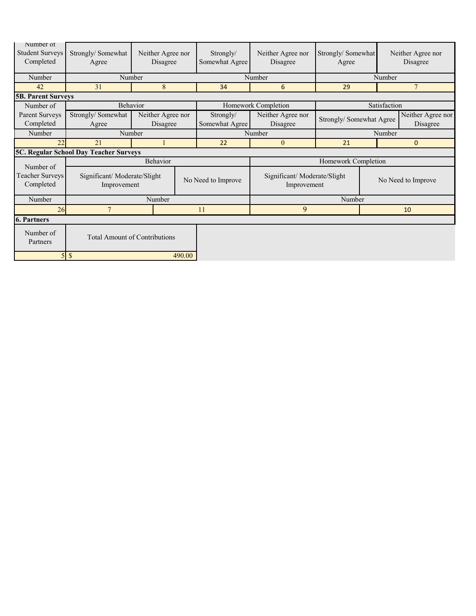| Number of<br><b>Student Surveys</b><br>Completed              | Strongly/Somewhat<br>Agree                 |                               | Neither Agree nor<br>Disagree<br>Somewhat Agree |                             | Neither Agree nor<br>Disagree              | Strongly/Somewhat<br>Agree |                     | Neither Agree nor<br>Disagree |  |
|---------------------------------------------------------------|--------------------------------------------|-------------------------------|-------------------------------------------------|-----------------------------|--------------------------------------------|----------------------------|---------------------|-------------------------------|--|
| Number                                                        | Number                                     |                               |                                                 | Number                      | Number                                     |                            |                     |                               |  |
| 42                                                            | 31<br>8                                    |                               | 34                                              | 6                           | 29                                         |                            | $7\phantom{.0}$     |                               |  |
|                                                               | <b>5B. Parent Surveys</b>                  |                               |                                                 |                             |                                            |                            |                     |                               |  |
| Number of                                                     | Behavior                                   |                               |                                                 | Homework Completion         |                                            | Satisfaction               |                     |                               |  |
| Parent Surveys<br>Completed                                   | Strongly/Somewhat<br>Agree                 | Neither Agree nor<br>Disagree |                                                 | Strongly/<br>Somewhat Agree | Neither Agree nor<br>Disagree              | Strongly/Somewhat Agree    |                     | Neither Agree nor<br>Disagree |  |
| Number                                                        | Number                                     |                               |                                                 | Number                      |                                            | Number                     |                     |                               |  |
| 22                                                            | 21                                         |                               |                                                 | 22                          | $\mathbf{0}$                               | 21                         | $\mathbf 0$         |                               |  |
| 5C. Regular School Day Teacher Surveys                        |                                            |                               |                                                 |                             |                                            |                            |                     |                               |  |
| Number of                                                     |                                            | Behavior                      |                                                 |                             |                                            |                            | Homework Completion |                               |  |
| Teacher Surveys<br>Completed                                  | Significant/Moderate/Slight<br>Improvement |                               |                                                 | No Need to Improve          | Significant/Moderate/Slight<br>Improvement |                            | No Need to Improve  |                               |  |
| Number                                                        | Number                                     |                               |                                                 |                             | Number                                     |                            |                     |                               |  |
|                                                               | 26<br>$\overline{7}$                       |                               | 11                                              | 9                           |                                            | 10                         |                     |                               |  |
| <b>6. Partners</b>                                            |                                            |                               |                                                 |                             |                                            |                            |                     |                               |  |
| Number of<br><b>Total Amount of Contributions</b><br>Partners |                                            |                               |                                                 |                             |                                            |                            |                     |                               |  |
|                                                               | $\mathcal{S}$<br>5l<br>490.00              |                               |                                                 |                             |                                            |                            |                     |                               |  |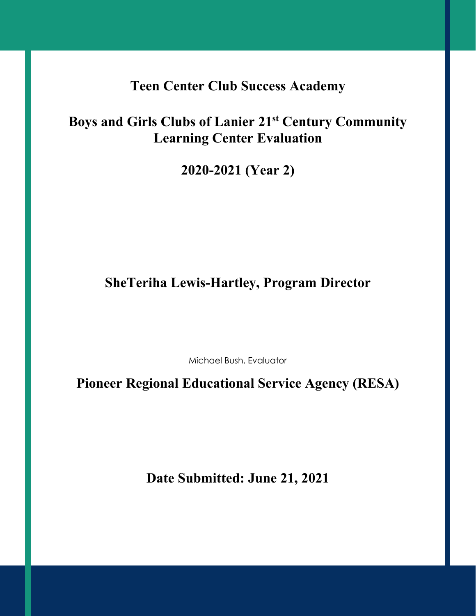# **Teen Center Club Success Academy**

# **Boys and Girls Clubs of Lanier 21st Century Community Learning Center Evaluation**

**2020-2021 (Year 2)**

# **SheTeriha Lewis-Hartley, Program Director**

Michael Bush, Evaluator

**Pioneer Regional Educational Service Agency (RESA)**

**Date Submitted: June 21, 2021**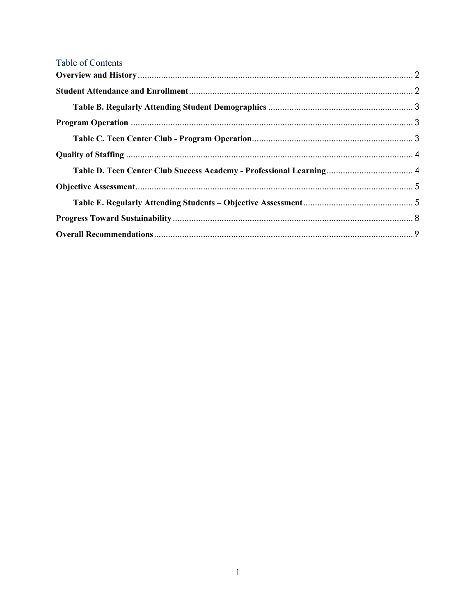| Table of Contents |  |
|-------------------|--|
|                   |  |
|                   |  |
|                   |  |
|                   |  |
|                   |  |
|                   |  |
|                   |  |
|                   |  |
|                   |  |
|                   |  |
|                   |  |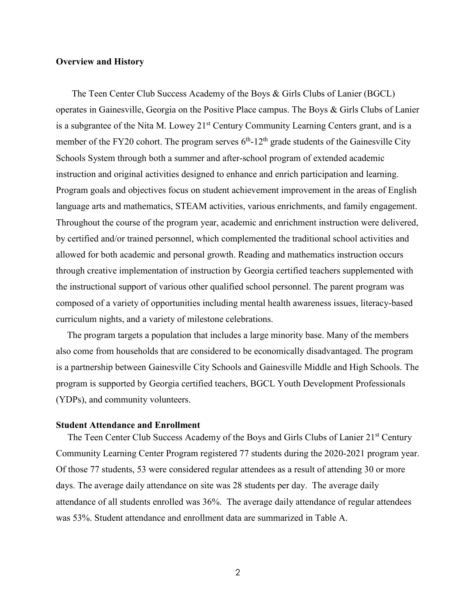#### <span id="page-4-0"></span>**Overview and History**

 The Teen Center Club Success Academy of the Boys & Girls Clubs of Lanier (BGCL) operates in Gainesville, Georgia on the Positive Place campus. The Boys & Girls Clubs of Lanier is a subgrantee of the Nita M. Lowey 21<sup>st</sup> Century Community Learning Centers grant, and is a member of the FY20 cohort. The program serves  $6<sup>th</sup>$ -12<sup>th</sup> grade students of the Gainesville City Schools System through both a summer and after-school program of extended academic instruction and original activities designed to enhance and enrich participation and learning. Program goals and objectives focus on student achievement improvement in the areas of English language arts and mathematics, STEAM activities, various enrichments, and family engagement. Throughout the course of the program year, academic and enrichment instruction were delivered, by certified and/or trained personnel, which complemented the traditional school activities and allowed for both academic and personal growth. Reading and mathematics instruction occurs through creative implementation of instruction by Georgia certified teachers supplemented with the instructional support of various other qualified school personnel. The parent program was composed of a variety of opportunities including mental health awareness issues, literacy-based curriculum nights, and a variety of milestone celebrations.

The program targets a population that includes a large minority base. Many of the members also come from households that are considered to be economically disadvantaged. The program is a partnership between Gainesville City Schools and Gainesville Middle and High Schools. The program is supported by Georgia certified teachers, BGCL Youth Development Professionals (YDPs), and community volunteers.

#### <span id="page-4-1"></span>**Student Attendance and Enrollment**

The Teen Center Club Success Academy of the Boys and Girls Clubs of Lanier 21<sup>st</sup> Century Community Learning Center Program registered 77 students during the 2020-2021 program year. Of those 77 students, 53 were considered regular attendees as a result of attending 30 or more days. The average daily attendance on site was 28 students per day. The average daily attendance of all students enrolled was 36%. The average daily attendance of regular attendees was 53%. Student attendance and enrollment data are summarized in Table A.

2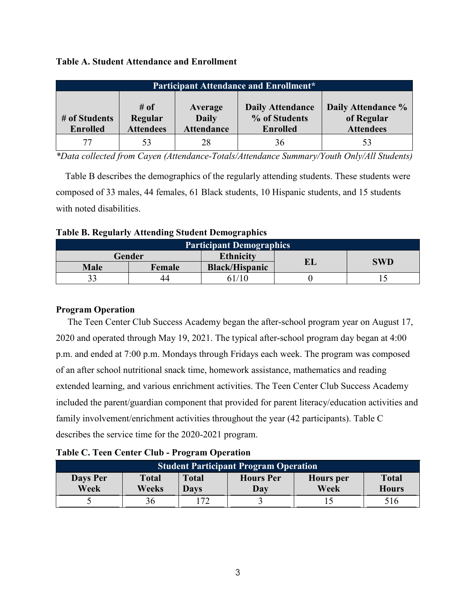# **Table A. Student Attendance and Enrollment**

| <b>Participant Attendance and Enrollment*</b> |                                        |                                              |                                                             |                                                      |  |  |  |
|-----------------------------------------------|----------------------------------------|----------------------------------------------|-------------------------------------------------------------|------------------------------------------------------|--|--|--|
| # of Students<br><b>Enrolled</b>              | $\#$ of<br>Regular<br><b>Attendees</b> | Average<br><b>Daily</b><br><b>Attendance</b> | <b>Daily Attendance</b><br>% of Students<br><b>Enrolled</b> | Daily Attendance %<br>of Regular<br><b>Attendees</b> |  |  |  |
| 77                                            | 53                                     | 28                                           | 36                                                          | 53                                                   |  |  |  |

*\*Data collected from Cayen (Attendance-Totals/Attendance Summary/Youth Only/All Students)*

 Table B describes the demographics of the regularly attending students. These students were composed of 33 males, 44 females, 61 Black students, 10 Hispanic students, and 15 students with noted disabilities.

<span id="page-5-0"></span>

| <b>Table B. Regularly Attending Student Demographics</b> |
|----------------------------------------------------------|
|----------------------------------------------------------|

| <b>Participant Demographics</b> |        |                       |    |            |  |  |
|---------------------------------|--------|-----------------------|----|------------|--|--|
| Gender                          |        | <b>Ethnicity</b>      | EL | <b>SWD</b> |  |  |
| <b>Male</b>                     | Female | <b>Black/Hispanic</b> |    |            |  |  |
|                                 | 44     |                       |    |            |  |  |

# <span id="page-5-1"></span>**Program Operation**

 The Teen Center Club Success Academy began the after-school program year on August 17, 2020 and operated through May 19, 2021. The typical after-school program day began at 4:00 p.m. and ended at 7:00 p.m. Mondays through Fridays each week. The program was composed of an after school nutritional snack time, homework assistance, mathematics and reading extended learning, and various enrichment activities. The Teen Center Club Success Academy included the parent/guardian component that provided for parent literacy/education activities and family involvement/enrichment activities throughout the year (42 participants). Table C describes the service time for the 2020-2021 program.

### <span id="page-5-2"></span>**Table C. Teen Center Club - Program Operation**

| <b>Student Participant Program Operation</b> |                       |                      |                         |                          |                              |  |  |
|----------------------------------------------|-----------------------|----------------------|-------------------------|--------------------------|------------------------------|--|--|
| Days Per<br>Week                             | <b>Total</b><br>Weeks | <b>Total</b><br>Davs | <b>Hours</b> Per<br>Day | <b>Hours</b> per<br>Week | <b>Total</b><br><b>Hours</b> |  |  |
|                                              |                       | 72                   |                         |                          | 516                          |  |  |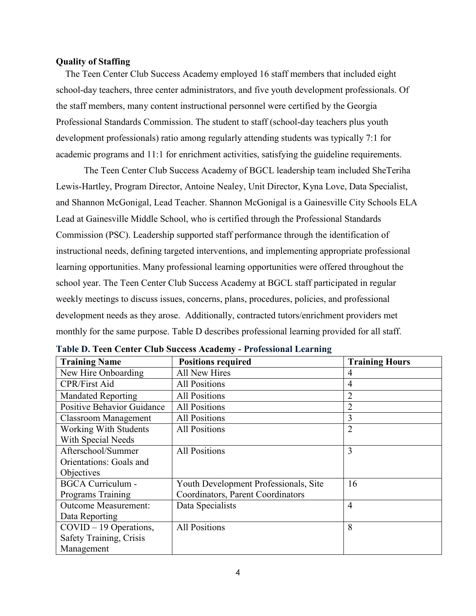#### <span id="page-6-0"></span>**Quality of Staffing**

 The Teen Center Club Success Academy employed 16 staff members that included eight school-day teachers, three center administrators, and five youth development professionals. Of the staff members, many content instructional personnel were certified by the Georgia Professional Standards Commission. The student to staff (school-day teachers plus youth development professionals) ratio among regularly attending students was typically 7:1 for academic programs and 11:1 for enrichment activities, satisfying the guideline requirements.

The Teen Center Club Success Academy of BGCL leadership team included SheTeriha Lewis-Hartley, Program Director, Antoine Nealey, Unit Director, Kyna Love, Data Specialist, and Shannon McGonigal, Lead Teacher. Shannon McGonigal is a Gainesville City Schools ELA Lead at Gainesville Middle School, who is certified through the Professional Standards Commission (PSC). Leadership supported staff performance through the identification of instructional needs, defining targeted interventions, and implementing appropriate professional learning opportunities. Many professional learning opportunities were offered throughout the school year. The Teen Center Club Success Academy at BGCL staff participated in regular weekly meetings to discuss issues, concerns, plans, procedures, policies, and professional development needs as they arose. Additionally, contracted tutors/enrichment providers met monthly for the same purpose. Table D describes professional learning provided for all staff.

| <b>Training Name</b>              | <b>Positions required</b>             | <b>Training Hours</b> |
|-----------------------------------|---------------------------------------|-----------------------|
| New Hire Onboarding               | <b>All New Hires</b>                  | 4                     |
| <b>CPR/First Aid</b>              | <b>All Positions</b>                  | 4                     |
| <b>Mandated Reporting</b>         | <b>All Positions</b>                  | $\overline{2}$        |
| <b>Positive Behavior Guidance</b> | <b>All Positions</b>                  | 2                     |
| <b>Classroom Management</b>       | <b>All Positions</b>                  | 3                     |
| <b>Working With Students</b>      | <b>All Positions</b>                  | $\overline{2}$        |
| With Special Needs                |                                       |                       |
| Afterschool/Summer                | <b>All Positions</b>                  | 3                     |
| Orientations: Goals and           |                                       |                       |
| Objectives                        |                                       |                       |
| <b>BGCA Curriculum -</b>          | Youth Development Professionals, Site | 16                    |
| Programs Training                 | Coordinators, Parent Coordinators     |                       |
| <b>Outcome Measurement:</b>       | Data Specialists                      | 4                     |
| Data Reporting                    |                                       |                       |
| $COVID - 19$ Operations,          | <b>All Positions</b>                  | 8                     |
| Safety Training, Crisis           |                                       |                       |
| Management                        |                                       |                       |

<span id="page-6-1"></span>**Table D. Teen Center Club Success Academy - Professional Learning**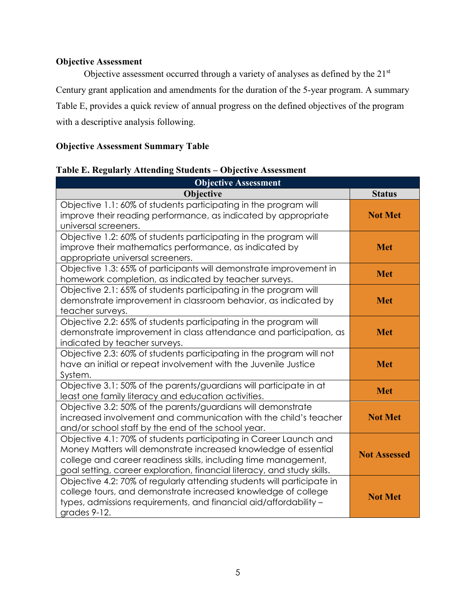# <span id="page-7-0"></span>**Objective Assessment**

Objective assessment occurred through a variety of analyses as defined by the 21st Century grant application and amendments for the duration of the 5-year program. A summary Table E, provides a quick review of annual progress on the defined objectives of the program with a descriptive analysis following.

# **Objective Assessment Summary Table**

# <span id="page-7-1"></span>**Table E. Regularly Attending Students – Objective Assessment**

| <b>Objective Assessment</b>                                                                                                                                                                                                                                                        |                     |
|------------------------------------------------------------------------------------------------------------------------------------------------------------------------------------------------------------------------------------------------------------------------------------|---------------------|
| Objective                                                                                                                                                                                                                                                                          | <b>Status</b>       |
| Objective 1.1: 60% of students participating in the program will<br>improve their reading performance, as indicated by appropriate<br>universal screeners.                                                                                                                         | <b>Not Met</b>      |
| Objective 1.2: 60% of students participating in the program will<br>improve their mathematics performance, as indicated by<br>appropriate universal screeners.                                                                                                                     | <b>Met</b>          |
| Objective 1.3: 65% of participants will demonstrate improvement in<br>homework completion, as indicated by teacher surveys.                                                                                                                                                        | <b>Met</b>          |
| Objective 2.1: 65% of students participating in the program will<br>demonstrate improvement in classroom behavior, as indicated by<br>teacher surveys.                                                                                                                             | <b>Met</b>          |
| Objective 2.2: 65% of students participating in the program will<br>demonstrate improvement in class attendance and participation, as<br>indicated by teacher surveys.                                                                                                             | <b>Met</b>          |
| Objective 2.3: 60% of students participating in the program will not<br>have an initial or repeat involvement with the Juvenile Justice<br>System.                                                                                                                                 | <b>Met</b>          |
| Objective 3.1: 50% of the parents/guardians will participate in at<br>least one family literacy and education activities.                                                                                                                                                          | <b>Met</b>          |
| Objective 3.2: 50% of the parents/guardians will demonstrate<br>increased involvement and communication with the child's teacher<br>and/or school staff by the end of the school year.                                                                                             | <b>Not Met</b>      |
| Objective 4.1: 70% of students participating in Career Launch and<br>Money Matters will demonstrate increased knowledge of essential<br>college and career readiness skills, including time management,<br>goal setting, career exploration, financial literacy, and study skills. | <b>Not Assessed</b> |
| Objective 4.2: 70% of regularly attending students will participate in<br>college tours, and demonstrate increased knowledge of college<br>types, admissions requirements, and financial aid/affordability -<br>grades 9-12.                                                       | <b>Not Met</b>      |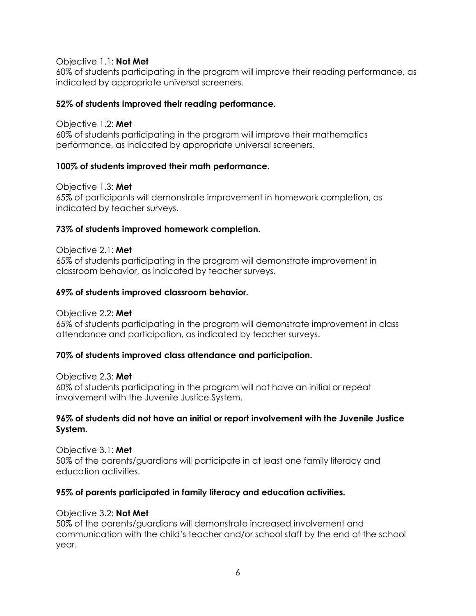## Objective 1.1: **Not Met**

60% of students participating in the program will improve their reading performance, as indicated by appropriate universal screeners.

# **52% of students improved their reading performance.**

### Objective 1.2: **Met**

60% of students participating in the program will improve their mathematics performance, as indicated by appropriate universal screeners.

# **100% of students improved their math performance.**

Objective 1.3: **Met**

65% of participants will demonstrate improvement in homework completion, as indicated by teacher surveys.

# **73% of students improved homework completion.**

Objective 2.1: **Met** 65% of students participating in the program will demonstrate improvement in classroom behavior, as indicated by teacher surveys.

# **69% of students improved classroom behavior.**

Objective 2.2: **Met**

65% of students participating in the program will demonstrate improvement in class attendance and participation, as indicated by teacher surveys.

# **70% of students improved class attendance and participation.**

Objective 2.3: **Met**

60% of students participating in the program will not have an initial or repeat involvement with the Juvenile Justice System.

# **96% of students did not have an initial or report involvement with the Juvenile Justice System.**

Objective 3.1: **Met** 50% of the parents/guardians will participate in at least one family literacy and education activities.

# **95% of parents participated in family literacy and education activities.**

### Objective 3.2: **Not Met**

50% of the parents/guardians will demonstrate increased involvement and communication with the child's teacher and/or school staff by the end of the school year.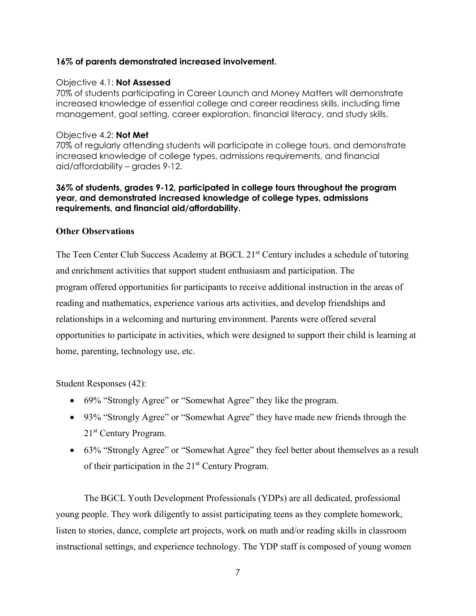# **16% of parents demonstrated increased involvement.**

## Objective 4.1: **Not Assessed**

70% of students participating in Career Launch and Money Matters will demonstrate increased knowledge of essential college and career readiness skills, including time management, goal setting, career exploration, financial literacy, and study skills.

## Objective 4.2: **Not Met**

70% of regularly attending students will participate in college tours, and demonstrate increased knowledge of college types, admissions requirements, and financial aid/affordability – grades 9-12.

### **36% of students, grades 9-12, participated in college tours throughout the program year, and demonstrated increased knowledge of college types, admissions requirements, and financial aid/affordability.**

# **Other Observations**

The Teen Center Club Success Academy at BGCL 21<sup>st</sup> Century includes a schedule of tutoring and enrichment activities that support student enthusiasm and participation. The program offered opportunities for participants to receive additional instruction in the areas of reading and mathematics, experience various arts activities, and develop friendships and relationships in a welcoming and nurturing environment. Parents were offered several opportunities to participate in activities, which were designed to support their child is learning at home, parenting, technology use, etc.

Student Responses (42):

- 69% "Strongly Agree" or "Somewhat Agree" they like the program.
- 93% "Strongly Agree" or "Somewhat Agree" they have made new friends through the 21st Century Program.
- 63% "Strongly Agree" or "Somewhat Agree" they feel better about themselves as a result of their participation in the  $21<sup>st</sup>$  Century Program.

The BGCL Youth Development Professionals (YDPs) are all dedicated, professional young people. They work diligently to assist participating teens as they complete homework, listen to stories, dance, complete art projects, work on math and/or reading skills in classroom instructional settings, and experience technology. The YDP staff is composed of young women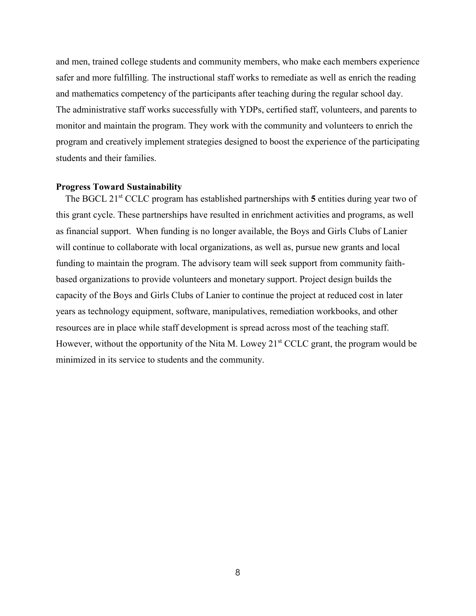and men, trained college students and community members, who make each members experience safer and more fulfilling. The instructional staff works to remediate as well as enrich the reading and mathematics competency of the participants after teaching during the regular school day. The administrative staff works successfully with YDPs, certified staff, volunteers, and parents to monitor and maintain the program. They work with the community and volunteers to enrich the program and creatively implement strategies designed to boost the experience of the participating students and their families.

#### <span id="page-10-0"></span>**Progress Toward Sustainability**

The BGCL 21<sup>st</sup> CCLC program has established partnerships with 5 entities during year two of this grant cycle. These partnerships have resulted in enrichment activities and programs, as well as financial support. When funding is no longer available, the Boys and Girls Clubs of Lanier will continue to collaborate with local organizations, as well as, pursue new grants and local funding to maintain the program. The advisory team will seek support from community faithbased organizations to provide volunteers and monetary support. Project design builds the capacity of the Boys and Girls Clubs of Lanier to continue the project at reduced cost in later years as technology equipment, software, manipulatives, remediation workbooks, and other resources are in place while staff development is spread across most of the teaching staff. However, without the opportunity of the Nita M. Lowey  $21<sup>st</sup> CCLC$  grant, the program would be minimized in its service to students and the community.